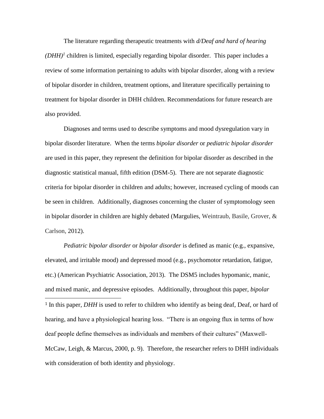The literature regarding therapeutic treatments with *d/Deaf and hard of hearing*   $(DHH)^{1}$  children is limited, especially regarding bipolar disorder. This paper includes a review of some information pertaining to adults with bipolar disorder, along with a review of bipolar disorder in children, treatment options, and literature specifically pertaining to treatment for bipolar disorder in DHH children. Recommendations for future research are also provided.

Diagnoses and terms used to describe symptoms and mood dysregulation vary in bipolar disorder literature. When the terms *bipolar disorder* or *pediatric bipolar disorder* are used in this paper, they represent the definition for bipolar disorder as described in the diagnostic statistical manual, fifth edition (DSM-5). There are not separate diagnostic criteria for bipolar disorder in children and adults; however, increased cycling of moods can be seen in children. Additionally, diagnoses concerning the cluster of symptomology seen in bipolar disorder in children are highly debated (Margulies, Weintraub, Basile, Grover, & Carlson, 2012).

*Pediatric bipolar disorder* or *bipolar disorder* is defined as manic (e.g., expansive, elevated, and irritable mood) and depressed mood (e.g., psychomotor retardation, fatigue, etc.) (American Psychiatric Association, 2013). The DSM5 includes hypomanic, manic, and mixed manic, and depressive episodes. Additionally, throughout this paper, *bipolar*   $\overline{\phantom{a}}$ <sup>1</sup> In this paper, *DHH* is used to refer to children who identify as being deaf, Deaf, or hard of hearing, and have a physiological hearing loss. "There is an ongoing flux in terms of how deaf people define themselves as individuals and members of their cultures" (Maxwell-McCaw, Leigh, & Marcus, 2000, p. 9). Therefore, the researcher refers to DHH individuals with consideration of both identity and physiology.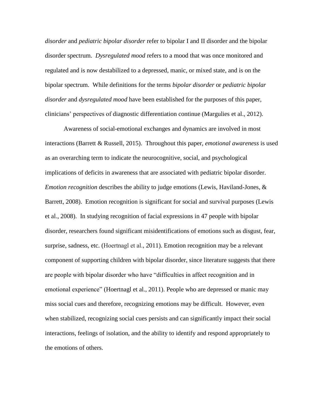*disorder* and *pediatric bipolar disorder* refer to bipolar I and II disorder and the bipolar disorder spectrum. *Dysregulated mood* refers to a mood that was once monitored and regulated and is now destabilized to a depressed, manic, or mixed state, and is on the bipolar spectrum. While definitions for the terms *bipolar disorder* or *pediatric bipolar disorder* and *dysregulated mood* have been established for the purposes of this paper, clinicians' perspectives of diagnostic differentiation continue (Margulies et al., 2012).

Awareness of social-emotional exchanges and dynamics are involved in most interactions (Barrett & Russell, 2015). Throughout this paper, *emotional awareness* is used as an overarching term to indicate the neurocognitive, social, and psychological implications of deficits in awareness that are associated with pediatric bipolar disorder. *Emotion recognition* describes the ability to judge emotions (Lewis, Haviland-Jones, & Barrett, 2008). Emotion recognition is significant for social and survival purposes (Lewis et al., 2008). In studying recognition of facial expressions in 47 people with bipolar disorder, researchers found significant misidentifications of emotions such as disgust, fear, surprise, sadness, etc. (Hoertnagl et al., 2011). Emotion recognition may be a relevant component of supporting children with bipolar disorder, since literature suggests that there are people with bipolar disorder who have "difficulties in affect recognition and in emotional experience" (Hoertnagl et al., 2011). People who are depressed or manic may miss social cues and therefore, recognizing emotions may be difficult. However, even when stabilized, recognizing social cues persists and can significantly impact their social interactions, feelings of isolation, and the ability to identify and respond appropriately to the emotions of others.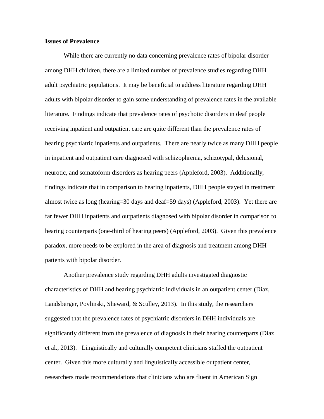# **Issues of Prevalence**

While there are currently no data concerning prevalence rates of bipolar disorder among DHH children, there are a limited number of prevalence studies regarding DHH adult psychiatric populations. It may be beneficial to address literature regarding DHH adults with bipolar disorder to gain some understanding of prevalence rates in the available literature. Findings indicate that prevalence rates of psychotic disorders in deaf people receiving inpatient and outpatient care are quite different than the prevalence rates of hearing psychiatric inpatients and outpatients. There are nearly twice as many DHH people in inpatient and outpatient care diagnosed with schizophrenia, schizotypal, delusional, neurotic, and somatoform disorders as hearing peers (Appleford, 2003). Additionally, findings indicate that in comparison to hearing inpatients, DHH people stayed in treatment almost twice as long (hearing=30 days and deaf=59 days) (Appleford, 2003). Yet there are far fewer DHH inpatients and outpatients diagnosed with bipolar disorder in comparison to hearing counterparts (one-third of hearing peers) (Appleford, 2003). Given this prevalence paradox, more needs to be explored in the area of diagnosis and treatment among DHH patients with bipolar disorder.

Another prevalence study regarding DHH adults investigated diagnostic characteristics of DHH and hearing psychiatric individuals in an outpatient center (Diaz, Landsberger, Povlinski, Sheward, & Sculley, 2013). In this study, the researchers suggested that the prevalence rates of psychiatric disorders in DHH individuals are significantly different from the prevalence of diagnosis in their hearing counterparts (Diaz et al., 2013). Linguistically and culturally competent clinicians staffed the outpatient center. Given this more culturally and linguistically accessible outpatient center, researchers made recommendations that clinicians who are fluent in American Sign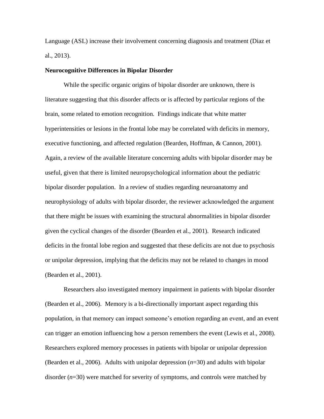Language (ASL) increase their involvement concerning diagnosis and treatment (Diaz et al., 2013).

### **Neurocognitive Differences in Bipolar Disorder**

While the specific organic origins of bipolar disorder are unknown, there is literature suggesting that this disorder affects or is affected by particular regions of the brain, some related to emotion recognition. Findings indicate that white matter hyperintensities or lesions in the frontal lobe may be correlated with deficits in memory, executive functioning, and affected regulation (Bearden, Hoffman, & Cannon, 2001). Again, a review of the available literature concerning adults with bipolar disorder may be useful, given that there is limited neuropsychological information about the pediatric bipolar disorder population. In a review of studies regarding neuroanatomy and neurophysiology of adults with bipolar disorder, the reviewer acknowledged the argument that there might be issues with examining the structural abnormalities in bipolar disorder given the cyclical changes of the disorder (Bearden et al., 2001). Research indicated deficits in the frontal lobe region and suggested that these deficits are not due to psychosis or unipolar depression, implying that the deficits may not be related to changes in mood (Bearden et al., 2001).

Researchers also investigated memory impairment in patients with bipolar disorder (Bearden et al., 2006). Memory is a bi-directionally important aspect regarding this population, in that memory can impact someone's emotion regarding an event, and an event can trigger an emotion influencing how a person remembers the event (Lewis et al., 2008). Researchers explored memory processes in patients with bipolar or unipolar depression (Bearden et al., 2006). Adults with unipolar depression (*n*=30) and adults with bipolar disorder (*n*=30) were matched for severity of symptoms, and controls were matched by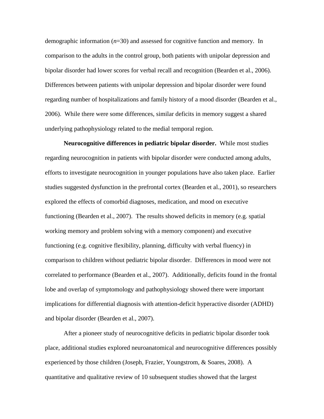demographic information (*n*=30) and assessed for cognitive function and memory. In comparison to the adults in the control group, both patients with unipolar depression and bipolar disorder had lower scores for verbal recall and recognition (Bearden et al., 2006). Differences between patients with unipolar depression and bipolar disorder were found regarding number of hospitalizations and family history of a mood disorder (Bearden et al., 2006). While there were some differences, similar deficits in memory suggest a shared underlying pathophysiology related to the medial temporal region.

**Neurocognitive differences in pediatric bipolar disorder.** While most studies regarding neurocognition in patients with bipolar disorder were conducted among adults, efforts to investigate neurocognition in younger populations have also taken place. Earlier studies suggested dysfunction in the prefrontal cortex (Bearden et al., 2001), so researchers explored the effects of comorbid diagnoses, medication, and mood on executive functioning (Bearden et al., 2007). The results showed deficits in memory (e.g. spatial working memory and problem solving with a memory component) and executive functioning (e.g. cognitive flexibility, planning, difficulty with verbal fluency) in comparison to children without pediatric bipolar disorder. Differences in mood were not correlated to performance (Bearden et al., 2007). Additionally, deficits found in the frontal lobe and overlap of symptomology and pathophysiology showed there were important implications for differential diagnosis with attention-deficit hyperactive disorder (ADHD) and bipolar disorder (Bearden et al., 2007).

After a pioneer study of neurocognitive deficits in pediatric bipolar disorder took place, additional studies explored neuroanatomical and neurocognitive differences possibly experienced by those children (Joseph, Frazier, Youngstrom, & Soares, 2008). A quantitative and qualitative review of 10 subsequent studies showed that the largest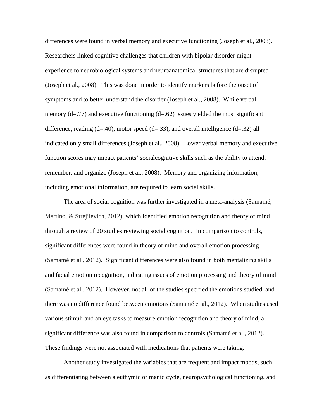differences were found in verbal memory and executive functioning (Joseph et al., 2008). Researchers linked cognitive challenges that children with bipolar disorder might experience to neurobiological systems and neuroanatomical structures that are disrupted (Joseph et al., 2008). This was done in order to identify markers before the onset of symptoms and to better understand the disorder (Joseph et al., 2008). While verbal memory  $(d=.77)$  and executive functioning  $(d=.62)$  issues yielded the most significant difference, reading  $(d=40)$ , motor speed  $(d=33)$ , and overall intelligence  $(d=32)$  all indicated only small differences (Joseph et al., 2008). Lower verbal memory and executive function scores may impact patients' socialcognitive skills such as the ability to attend, remember, and organize (Joseph et al., 2008). Memory and organizing information, including emotional information, are required to learn social skills.

The area of social cognition was further investigated in a meta-analysis (Samamé, Martino, & Strejilevich, 2012), which identified emotion recognition and theory of mind through a review of 20 studies reviewing social cognition. In comparison to controls, significant differences were found in theory of mind and overall emotion processing (Samamé et al., 2012). Significant differences were also found in both mentalizing skills and facial emotion recognition, indicating issues of emotion processing and theory of mind (Samamé et al., 2012). However, not all of the studies specified the emotions studied, and there was no difference found between emotions (Samamé et al., 2012). When studies used various stimuli and an eye tasks to measure emotion recognition and theory of mind, a significant difference was also found in comparison to controls (Samamé et al., 2012). These findings were not associated with medications that patients were taking.

Another study investigated the variables that are frequent and impact moods, such as differentiating between a euthymic or manic cycle, neuropsychological functioning, and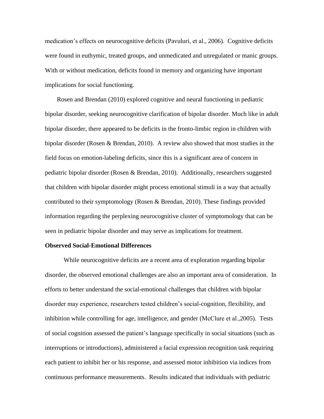medication's effects on neurocognitive deficits (Pavuluri, et al., 2006). Cognitive deficits were found in euthymic, treated groups, and unmedicated and unregulated or manic groups. With or without medication, deficits found in memory and organizing have important implications for social functioning.

Rosen and Brendan (2010) explored cognitive and neural functioning in pediatric bipolar disorder, seeking neurocognitive clarification of bipolar disorder. Much like in adult bipolar disorder, there appeared to be deficits in the fronto-limbic region in children with bipolar disorder (Rosen & Brendan, 2010). A review also showed that most studies in the field focus on emotion-labeling deficits, since this is a significant area of concern in pediatric bipolar disorder (Rosen & Brendan, 2010). Additionally, researchers suggested that children with bipolar disorder might process emotional stimuli in a way that actually contributed to their symptomology (Rosen & Brendan, 2010). These findings provided information regarding the perplexing neurocognitive cluster of symptomology that can be seen in pediatric bipolar disorder and may serve as implications for treatment.

## **Observed Social-Emotional Differences**

While neurocognitive deficits are a recent area of exploration regarding bipolar disorder, the observed emotional challenges are also an important area of consideration. In efforts to better understand the social-emotional challenges that children with bipolar disorder may experience, researchers tested children's social-cognition, flexibility, and inhibition while controlling for age, intelligence, and gender (McClure et al.,2005). Tests of social cognition assessed the patient's language specifically in social situations (such as interruptions or introductions), administered a facial expression recognition task requiring each patient to inhibit her or his response, and assessed motor inhibition via indices from continuous performance measurements. Results indicated that individuals with pediatric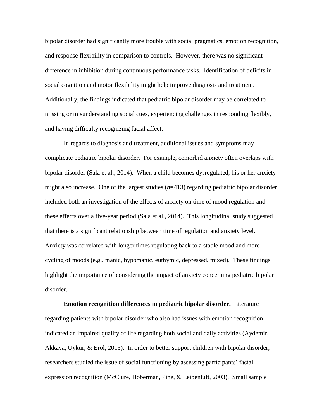bipolar disorder had significantly more trouble with social pragmatics, emotion recognition, and response flexibility in comparison to controls. However, there was no significant difference in inhibition during continuous performance tasks. Identification of deficits in social cognition and motor flexibility might help improve diagnosis and treatment. Additionally, the findings indicated that pediatric bipolar disorder may be correlated to missing or misunderstanding social cues, experiencing challenges in responding flexibly, and having difficulty recognizing facial affect.

In regards to diagnosis and treatment, additional issues and symptoms may complicate pediatric bipolar disorder. For example, comorbid anxiety often overlaps with bipolar disorder (Sala et al., 2014). When a child becomes dysregulated, his or her anxiety might also increase. One of the largest studies ( $n=413$ ) regarding pediatric bipolar disorder included both an investigation of the effects of anxiety on time of mood regulation and these effects over a five-year period (Sala et al., 2014). This longitudinal study suggested that there is a significant relationship between time of regulation and anxiety level. Anxiety was correlated with longer times regulating back to a stable mood and more cycling of moods (e.g., manic, hypomanic, euthymic, depressed, mixed). These findings highlight the importance of considering the impact of anxiety concerning pediatric bipolar disorder.

**Emotion recognition differences in pediatric bipolar disorder.** Literature regarding patients with bipolar disorder who also had issues with emotion recognition indicated an impaired quality of life regarding both social and daily activities (Aydemir, Akkaya, Uykur, & Erol, 2013). In order to better support children with bipolar disorder, researchers studied the issue of social functioning by assessing participants' facial expression recognition (McClure, Hoberman, Pine, & Leibenluft, 2003). Small sample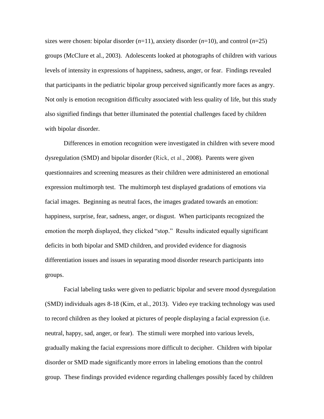sizes were chosen: bipolar disorder  $(n=11)$ , anxiety disorder  $(n=10)$ , and control  $(n=25)$ groups (McClure et al., 2003). Adolescents looked at photographs of children with various levels of intensity in expressions of happiness, sadness, anger, or fear. Findings revealed that participants in the pediatric bipolar group perceived significantly more faces as angry. Not only is emotion recognition difficulty associated with less quality of life, but this study also signified findings that better illuminated the potential challenges faced by children with bipolar disorder.

Differences in emotion recognition were investigated in children with severe mood dysregulation (SMD) and bipolar disorder (Rick, et al., 2008). Parents were given questionnaires and screening measures as their children were administered an emotional expression multimorph test. The multimorph test displayed gradations of emotions via facial images. Beginning as neutral faces, the images gradated towards an emotion: happiness, surprise, fear, sadness, anger, or disgust. When participants recognized the emotion the morph displayed, they clicked "stop." Results indicated equally significant deficits in both bipolar and SMD children, and provided evidence for diagnosis differentiation issues and issues in separating mood disorder research participants into groups.

Facial labeling tasks were given to pediatric bipolar and severe mood dysregulation (SMD) individuals ages 8-18 (Kim, et al., 2013). Video eye tracking technology was used to record children as they looked at pictures of people displaying a facial expression (i.e. neutral, happy, sad, anger, or fear). The stimuli were morphed into various levels, gradually making the facial expressions more difficult to decipher. Children with bipolar disorder or SMD made significantly more errors in labeling emotions than the control group. These findings provided evidence regarding challenges possibly faced by children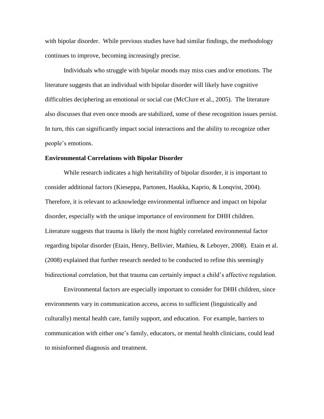with bipolar disorder. While previous studies have had similar findings, the methodology continues to improve, becoming increasingly precise.

Individuals who struggle with bipolar moods may miss cues and/or emotions. The literature suggests that an individual with bipolar disorder will likely have cognitive difficulties deciphering an emotional or social cue (McClure et al., 2005). The literature also discusses that even once moods are stabilized, some of these recognition issues persist. In turn, this can significantly impact social interactions and the ability to recognize other people's emotions.

#### **Environmental Correlations with Bipolar Disorder**

While research indicates a high heritability of bipolar disorder, it is important to consider additional factors (Kieseppa, Partonen, Haukka, Kaprio, & Lonqvist, 2004). Therefore, it is relevant to acknowledge environmental influence and impact on bipolar disorder, especially with the unique importance of environment for DHH children. Literature suggests that trauma is likely the most highly correlated environmental factor regarding bipolar disorder (Etain, Henry, Bellivier, Mathieu, & Leboyer, 2008). Etain et al. (2008) explained that further research needed to be conducted to refine this seemingly bidirectional correlation, but that trauma can certainly impact a child's affective regulation.

Environmental factors are especially important to consider for DHH children, since environments vary in communication access, access to sufficient (linguistically and culturally) mental health care, family support, and education. For example, barriers to communication with either one's family, educators, or mental health clinicians, could lead to misinformed diagnosis and treatment.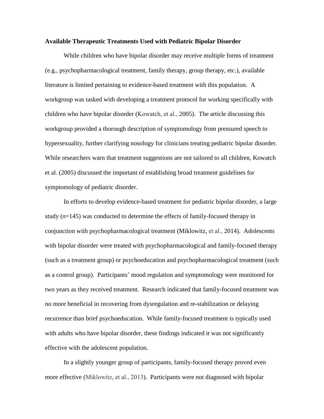#### **Available Therapeutic Treatments Used with Pediatric Bipolar Disorder**

While children who have bipolar disorder may receive multiple forms of treatment (e.g., psychopharmacological treatment, family therapy, group therapy, etc.), available literature is limited pertaining to evidence-based treatment with this population. A workgroup was tasked with developing a treatment protocol for working specifically with children who have bipolar disorder (Kowatch, et al., 2005). The article discussing this workgroup provided a thorough description of symptomology from pressured speech to hypersexuality, further clarifying nosology for clinicians treating pediatric bipolar disorder. While researchers warn that treatment suggestions are not tailored to all children, Kowatch et al. (2005) discussed the important of establishing broad treatment guidelines for symptomology of pediatric disorder.

In efforts to develop evidence-based treatment for pediatric bipolar disorder, a large study  $(n=145)$  was conducted to determine the effects of family-focused therapy in conjunction with psychopharmacological treatment (Miklowitz, et al., 2014). Adolescents with bipolar disorder were treated with psychopharmacological and family-focused therapy (such as a treatment group) or psychoeducation and psychopharmacological treatment (such as a control group). Participants' mood regulation and symptomology were monitored for two years as they received treatment. Research indicated that family-focused treatment was no more beneficial in recovering from dysregulation and re-stabilization or delaying recurrence than brief psychoeducation. While family-focused treatment is typically used with adults who have bipolar disorder, these findings indicated it was not significantly effective with the adolescent population.

In a slightly younger group of participants, family-focused therapy proved even more effective (Miklowitz, et al., 2013). Participants were not diagnosed with bipolar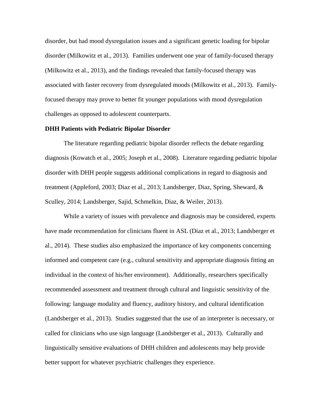disorder, but had mood dysregulation issues and a significant genetic loading for bipolar disorder (Milkowitz et al., 2013). Families underwent one year of family-focused therapy (Milkowitz et al., 2013), and the findings revealed that family-focused therapy was associated with faster recovery from dysregulated moods (Milkowitz et al., 2013). Familyfocused therapy may prove to better fit younger populations with mood dysregulation challenges as opposed to adolescent counterparts.

## **DHH Patients with Pediatric Bipolar Disorder**

The literature regarding pediatric bipolar disorder reflects the debate regarding diagnosis (Kowatch et al., 2005; Joseph et al., 2008). Literature regarding pediatric bipolar disorder with DHH people suggests additional complications in regard to diagnosis and treatment (Appleford, 2003; Diaz et al., 2013; Landsberger, Diaz, Spring, Sheward, & Sculley, 2014; Landsberger, Sajid, Schmelkin, Diaz, & Weiler, 2013).

While a variety of issues with prevalence and diagnosis may be considered, experts have made recommendation for clinicians fluent in ASL (Diaz et al., 2013; Landsberger et al., 2014). These studies also emphasized the importance of key components concerning informed and competent care (e.g., cultural sensitivity and appropriate diagnosis fitting an individual in the context of his/her environment). Additionally, researchers specifically recommended assessment and treatment through cultural and linguistic sensitivity of the following: language modality and fluency, auditory history, and cultural identification (Landsberger et al., 2013). Studies suggested that the use of an interpreter is necessary, or called for clinicians who use sign language (Landsberger et al., 2013). Culturally and linguistically sensitive evaluations of DHH children and adolescents may help provide better support for whatever psychiatric challenges they experience.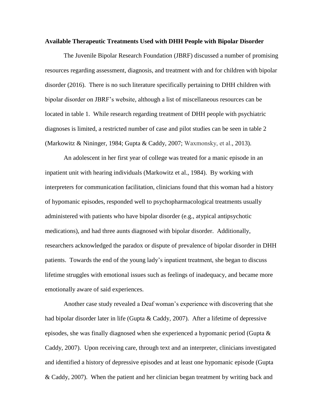#### **Available Therapeutic Treatments Used with DHH People with Bipolar Disorder**

The Juvenile Bipolar Research Foundation (JBRF) discussed a number of promising resources regarding assessment, diagnosis, and treatment with and for children with bipolar disorder (2016). There is no such literature specifically pertaining to DHH children with bipolar disorder on JBRF's website, although a list of miscellaneous resources can be located in table 1. While research regarding treatment of DHH people with psychiatric diagnoses is limited, a restricted number of case and pilot studies can be seen in table 2 (Markowitz & Nininger, 1984; Gupta & Caddy, 2007; Waxmonsky, et al., 2013).

An adolescent in her first year of college was treated for a manic episode in an inpatient unit with hearing individuals (Markowitz et al., 1984). By working with interpreters for communication facilitation, clinicians found that this woman had a history of hypomanic episodes, responded well to psychopharmacological treatments usually administered with patients who have bipolar disorder (e.g., atypical antipsychotic medications), and had three aunts diagnosed with bipolar disorder. Additionally, researchers acknowledged the paradox or dispute of prevalence of bipolar disorder in DHH patients. Towards the end of the young lady's inpatient treatment, she began to discuss lifetime struggles with emotional issues such as feelings of inadequacy, and became more emotionally aware of said experiences.

Another case study revealed a Deaf woman's experience with discovering that she had bipolar disorder later in life (Gupta & Caddy, 2007). After a lifetime of depressive episodes, she was finally diagnosed when she experienced a hypomanic period (Gupta  $\&$ Caddy, 2007). Upon receiving care, through text and an interpreter, clinicians investigated and identified a history of depressive episodes and at least one hypomanic episode (Gupta & Caddy, 2007). When the patient and her clinician began treatment by writing back and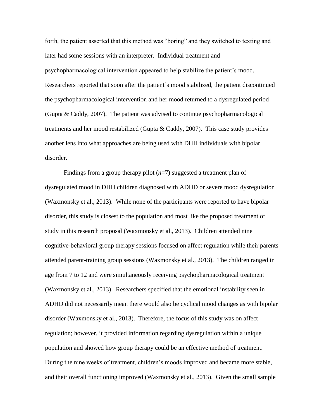forth, the patient asserted that this method was "boring" and they switched to texting and later had some sessions with an interpreter. Individual treatment and psychopharmacological intervention appeared to help stabilize the patient's mood. Researchers reported that soon after the patient's mood stabilized, the patient discontinued the psychopharmacological intervention and her mood returned to a dysregulated period (Gupta & Caddy, 2007). The patient was advised to continue psychopharmacological treatments and her mood restabilized (Gupta & Caddy, 2007). This case study provides another lens into what approaches are being used with DHH individuals with bipolar disorder.

Findings from a group therapy pilot (*n*=7) suggested a treatment plan of dysregulated mood in DHH children diagnosed with ADHD or severe mood dysregulation (Waxmonsky et al., 2013). While none of the participants were reported to have bipolar disorder, this study is closest to the population and most like the proposed treatment of study in this research proposal (Waxmonsky et al., 2013). Children attended nine cognitive-behavioral group therapy sessions focused on affect regulation while their parents attended parent-training group sessions (Waxmonsky et al., 2013). The children ranged in age from 7 to 12 and were simultaneously receiving psychopharmacological treatment (Waxmonsky et al., 2013). Researchers specified that the emotional instability seen in ADHD did not necessarily mean there would also be cyclical mood changes as with bipolar disorder (Waxmonsky et al., 2013). Therefore, the focus of this study was on affect regulation; however, it provided information regarding dysregulation within a unique population and showed how group therapy could be an effective method of treatment. During the nine weeks of treatment, children's moods improved and became more stable, and their overall functioning improved (Waxmonsky et al., 2013). Given the small sample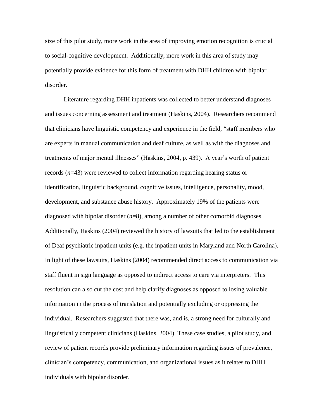size of this pilot study, more work in the area of improving emotion recognition is crucial to social-cognitive development. Additionally, more work in this area of study may potentially provide evidence for this form of treatment with DHH children with bipolar disorder.

Literature regarding DHH inpatients was collected to better understand diagnoses and issues concerning assessment and treatment (Haskins, 2004). Researchers recommend that clinicians have linguistic competency and experience in the field, "staff members who are experts in manual communication and deaf culture, as well as with the diagnoses and treatments of major mental illnesses" (Haskins, 2004, p. 439). A year's worth of patient records (*n*=43) were reviewed to collect information regarding hearing status or identification, linguistic background, cognitive issues, intelligence, personality, mood, development, and substance abuse history. Approximately 19% of the patients were diagnosed with bipolar disorder (*n*=8), among a number of other comorbid diagnoses. Additionally, Haskins (2004) reviewed the history of lawsuits that led to the establishment of Deaf psychiatric inpatient units (e.g. the inpatient units in Maryland and North Carolina). In light of these lawsuits, Haskins (2004) recommended direct access to communication via staff fluent in sign language as opposed to indirect access to care via interpreters. This resolution can also cut the cost and help clarify diagnoses as opposed to losing valuable information in the process of translation and potentially excluding or oppressing the individual. Researchers suggested that there was, and is, a strong need for culturally and linguistically competent clinicians (Haskins, 2004). These case studies, a pilot study, and review of patient records provide preliminary information regarding issues of prevalence, clinician's competency, communication, and organizational issues as it relates to DHH individuals with bipolar disorder.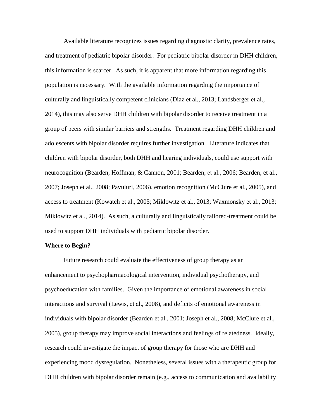Available literature recognizes issues regarding diagnostic clarity, prevalence rates, and treatment of pediatric bipolar disorder. For pediatric bipolar disorder in DHH children, this information is scarcer. As such, it is apparent that more information regarding this population is necessary. With the available information regarding the importance of culturally and linguistically competent clinicians (Diaz et al., 2013; Landsberger et al., 2014), this may also serve DHH children with bipolar disorder to receive treatment in a group of peers with similar barriers and strengths. Treatment regarding DHH children and adolescents with bipolar disorder requires further investigation. Literature indicates that children with bipolar disorder, both DHH and hearing individuals, could use support with neurocognition (Bearden, Hoffman, & Cannon, 2001; Bearden, et al., 2006; Bearden, et al., 2007; Joseph et al., 2008; Pavuluri, 2006), emotion recognition (McClure et al., 2005), and access to treatment (Kowatch et al., 2005; Miklowitz et al., 2013; Waxmonsky et al., 2013; Miklowitz et al., 2014). As such, a culturally and linguistically tailored-treatment could be used to support DHH individuals with pediatric bipolar disorder.

## **Where to Begin?**

Future research could evaluate the effectiveness of group therapy as an enhancement to psychopharmacological intervention, individual psychotherapy, and psychoeducation with families. Given the importance of emotional awareness in social interactions and survival (Lewis, et al., 2008), and deficits of emotional awareness in individuals with bipolar disorder (Bearden et al., 2001; Joseph et al., 2008; McClure et al., 2005), group therapy may improve social interactions and feelings of relatedness. Ideally, research could investigate the impact of group therapy for those who are DHH and experiencing mood dysregulation. Nonetheless, several issues with a therapeutic group for DHH children with bipolar disorder remain (e.g., access to communication and availability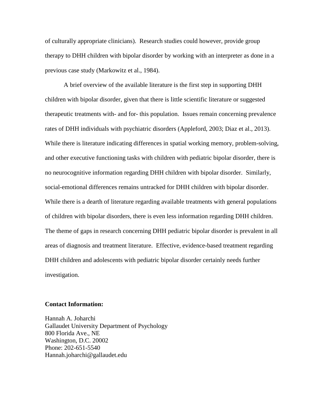of culturally appropriate clinicians). Research studies could however, provide group therapy to DHH children with bipolar disorder by working with an interpreter as done in a previous case study (Markowitz et al., 1984).

A brief overview of the available literature is the first step in supporting DHH children with bipolar disorder, given that there is little scientific literature or suggested therapeutic treatments with- and for- this population. Issues remain concerning prevalence rates of DHH individuals with psychiatric disorders (Appleford, 2003; Diaz et al., 2013). While there is literature indicating differences in spatial working memory, problem-solving, and other executive functioning tasks with children with pediatric bipolar disorder, there is no neurocognitive information regarding DHH children with bipolar disorder. Similarly, social-emotional differences remains untracked for DHH children with bipolar disorder. While there is a dearth of literature regarding available treatments with general populations of children with bipolar disorders, there is even less information regarding DHH children. The theme of gaps in research concerning DHH pediatric bipolar disorder is prevalent in all areas of diagnosis and treatment literature. Effective, evidence-based treatment regarding DHH children and adolescents with pediatric bipolar disorder certainly needs further investigation.

#### **Contact Information:**

Hannah A. Joharchi Gallaudet University Department of Psychology 800 Florida Ave., NE Washington, D.C. 20002 Phone: 202-651-5540 Hannah.joharchi@gallaudet.edu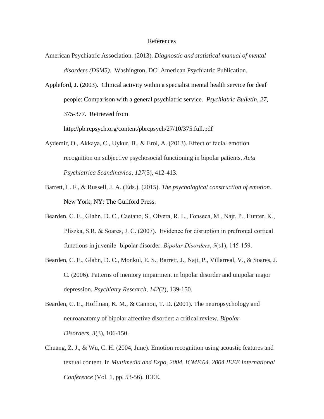#### References

- American Psychiatric Association. (2013). *Diagnostic and statistical manual of mental disorders (DSM5)*. Washington, DC: American Psychiatric Publication.
- Appleford, J. (2003). Clinical activity within a specialist mental health service for deaf people: Comparison with a general psychiatric service. *Psychiatric Bulletin, 27*, 375-377. Retrieved from

http://pb.rcpsych.org/content/pbrcpsych/27/10/375.full.pdf

- Aydemir, O., Akkaya, C., Uykur, B., & Erol, A. (2013). Effect of facial emotion recognition on subjective psychosocial functioning in bipolar patients. *Acta Psychiatrica Scandinavica*, *127*(5), 412-413.
- Barrett, L. F., & Russell, J. A. (Eds.). (2015). *The psychological construction of emotion*. New York, NY: The Guilford Press.
- Bearden, C. E., Glahn, D. C., Caetano, S., Olvera, R. L., Fonseca, M., Najt, P., Hunter, K., Pliszka, S.R. & Soares, J. C. (2007). Evidence for disruption in prefrontal cortical functions in juvenile bipolar disorder. *Bipolar Disorders*, *9*(s1), 145-159.
- Bearden, C. E., Glahn, D. C., Monkul, E. S., Barrett, J., Najt, P., Villarreal, V., & Soares, J. C. (2006). Patterns of memory impairment in bipolar disorder and unipolar major depression. *Psychiatry Research*, *142*(2), 139-150.
- Bearden, C. E., Hoffman, K. M., & Cannon, T. D. (2001). The neuropsychology and neuroanatomy of bipolar affective disorder: a critical review. *Bipolar Disorders*, *3*(3), 106-150.
- Chuang, Z. J., & Wu, C. H. (2004, June). Emotion recognition using acoustic features and textual content. In *Multimedia and Expo, 2004. ICME'04. 2004 IEEE International Conference* (Vol. 1, pp. 53-56). IEEE.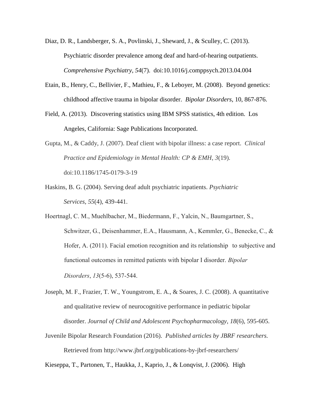- Diaz, D. R., Landsberger, S. A., Povlinski, J., Sheward, J., & Sculley, C. (2013). Psychiatric disorder prevalence among deaf and hard-of-hearing outpatients. *Comprehensive Psychiatry*, *54*(7). [doi:10.1016/j.comppsych.2013.04.004](http://dx.doi.org/10.1016/j.comppsych.2013.04.004)
- Etain, B., Henry, C., Bellivier, F., Mathieu, F., & Leboyer, M. (2008). Beyond genetics: childhood affective trauma in bipolar disorder. *Bipolar Disorders*, 10, 867-876.
- Field, A. (2013). Discovering statistics using IBM SPSS statistics, 4th edition. Los Angeles, California: Sage Publications Incorporated.
- Gupta, M., & Caddy, J. (2007). Deaf client with bipolar illness: a case report. *Clinical Practice and Epidemiology in Mental Health: CP & EMH*, *3*(19). doi:10.1186/1745-0179-3-19
- Haskins, B. G. (2004). Serving deaf adult psychiatric inpatients. *Psychiatric Services*, *55*(4), 439-441.
- Hoertnagl, C. M., Muehlbacher, M., Biedermann, F., Yalcin, N., Baumgartner, S., Schwitzer, G., Deisenhammer, E.A., Hausmann, A., Kemmler, G., Benecke, C., & Hofer, A. (2011). Facial emotion recognition and its relationship to subjective and functional outcomes in remitted patients with bipolar I disorder. *Bipolar Disorders*, *13*(5‐6), 537-544.
- Joseph, M. F., Frazier, T. W., Youngstrom, E. A., & Soares, J. C. (2008). A quantitative and qualitative review of neurocognitive performance in pediatric bipolar disorder. *Journal of Child and Adolescent Psychopharmacology*, *18*(6), 595-605.
- Juvenile Bipolar Research Foundation (2016). *Published articles by JBRF researchers.* Retrieved from http://www.jbrf.org/publications-by-jbrf-researchers/

Kieseppa, T., Partonen, T., Haukka, J., Kaprio, J., & Lonqvist, J. (2006). High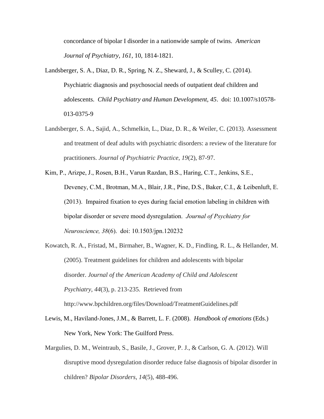concordance of bipolar I disorder in a nationwide sample of twins. *American Journal of Psychiatry*, *161*, 10, 1814-1821.

- Landsberger, S. A., Diaz, D. R., Spring, N. Z., Sheward, J., & Sculley, C. (2014). Psychiatric diagnosis and psychosocial needs of outpatient deaf children and adolescents. *Child Psychiatry and Human Development, 45*. doi: 10.1007/s10578- 013-0375-9
- Landsberger, S. A., Sajid, A., Schmelkin, L., Diaz, D. R., & Weiler, C. (2013). Assessment and treatment of deaf adults with psychiatric disorders: a review of the literature for practitioners. *Journal of Psychiatric Practice*, *19*(2), 87-97.
- Kim, P., Arizpe, J., Rosen, B.H., Varun Razdan, B.S., Haring, C.T., Jenkins, S.E., Deveney, C.M., Brotman, M.A., Blair, J.R., Pine, D.S., Baker, C.I., & Leibenluft, E. (2013). Impaired fixation to eyes during facial emotion labeling in children with bipolar disorder or severe mood dysregulation. *Journal of Psychiatry for Neuroscience, 38*(6). doi: [10.1503/jpn.120232](http://dx.doi.org/10.1503%2Fjpn.120232)
- Kowatch, R. A., Fristad, M., Birmaher, B., Wagner, K. D., Findling, R. L., & Hellander, M. (2005). Treatment guidelines for children and adolescents with bipolar disorder. *Journal of the American Academy of Child and Adolescent Psychiatry*, *44*(3), p. 213-235. Retrieved from http://www.bpchildren.org/files/Download/TreatmentGuidelines.pdf
- Lewis, M., Haviland-Jones, J.M., & Barrett, L. F. (2008). *Handbook of emotions* (Eds.) New York, New York: The Guilford Press.
- Margulies, D. M., Weintraub, S., Basile, J., Grover, P. J., & Carlson, G. A. (2012). Will disruptive mood dysregulation disorder reduce false diagnosis of bipolar disorder in children? *Bipolar Disorders*, *14*(5), 488-496.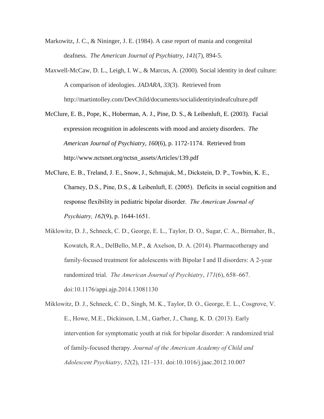- Markowitz, J. C., & Nininger, J. E. (1984). A case report of mania and congenital deafness. *The American Journal of Psychiatry*, *141*(7), 894-5.
- Maxwell-McCaw, D. L., Leigh, I. W., & Marcus, A. (2000). Social identity in deaf culture: A comparison of ideologies. *JADARA*, *33*(3). Retrieved from http://martintolley.com/DevChild/documents/socialidentityindeafculture.pdf
- McClure, E. B., Pope, K., Hoberman, A. J., Pine, D. S., & Leibenluft, E. (2003). Facial expression recognition in adolescents with mood and anxiety disorders. *The American Journal of Psychiatry, 160*(6), p. 1172-1174. Retrieved from http://www.nctsnet.org/nctsn\_assets/Articles/139.pdf
- McClure, E. B., Treland, J. E., Snow, J., Schmajuk, M., Dickstein, D. P., Towbin, K. E., Charney, D.S., Pine, D.S., & Leibenluft, E. (2005). Deficits in social cognition and response flexibility in pediatric bipolar disorder. *The American Journal of Psychiatry, 162*(9), p. 1644-1651.
- Miklowitz, D. J., Schneck, C. D., George, E. L., Taylor, D. O., Sugar, C. A., Birmaher, B., Kowatch, R.A., DelBello, M.P., & Axelson, D. A. (2014). Pharmacotherapy and family-focused treatment for adolescents with Bipolar I and II disorders: A 2-year randomized trial. *The American Journal of Psychiatry*, *171*(6), 658–667. doi:10.1176/appi.ajp.2014.13081130

Miklowitz, D. J., Schneck, C. D., Singh, M. K., Taylor, D. O., George, E. L., Cosgrove, V. E., Howe, M.E., Dickinson, L.M., Garber, J., Chang, K. D. (2013). Early intervention for symptomatic youth at risk for bipolar disorder: A randomized trial of family-focused therapy. *Journal of the American Academy of Child and Adolescent Psychiatry*, *52*(2), 121–131. doi:10.1016/j.jaac.2012.10.007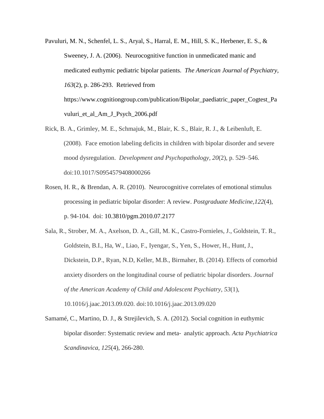- Pavuluri, M. N., Schenfel, L. S., Aryal, S., Harral, E. M., Hill, S. K., Herbener, E. S., & Sweeney, J. A. (2006). Neurocognitive function in unmedicated manic and medicated euthymic pediatric bipolar patients. *The American Journal of Psychiatry, 163*(2), p. 286-293. Retrieved from https://www.cognitiongroup.com/publication/Bipolar\_paediatric\_paper\_Cogtest\_Pa vuluri et al Am J Psych 2006.pdf
- Rick, B. A., Grimley, M. E., Schmajuk, M., Blair, K. S., Blair, R. J., & Leibenluft, E. (2008). Face emotion labeling deficits in children with bipolar disorder and severe mood dysregulation. *Development and Psychopathology*, *20*(2), p. 529–546. doi:10.1017/S0954579408000266
- Rosen, H. R., & Brendan, A. R. (2010). Neurocognitive correlates of emotional stimulus processing in pediatric bipolar disorder: A review. *Postgraduate Medicine,122*(4), p. 94-104. doi: 10.3810/pgm.2010.07.2177
- Sala, R., Strober, M. A., Axelson, D. A., Gill, M. K., Castro-Fornieles, J., Goldstein, T. R., Goldstein, B.I., Ha, W., Liao, F., Iyengar, S., Yen, S., Hower, H., Hunt, J., Dickstein, D.P., Ryan, N.D, Keller, M.B., Birmaher, B. (2014). Effects of comorbid anxiety disorders on the longitudinal course of pediatric bipolar disorders. *Journal of the American Academy of Child and Adolescent Psychiatry*, *53*(1), 10.1016/j.jaac.2013.09.020. doi:10.1016/j.jaac.2013.09.020
- Samamé, C., Martino, D. J., & Strejilevich, S. A. (2012). Social cognition in euthymic bipolar disorder: Systematic review and meta‐ analytic approach. *Acta Psychiatrica Scandinavica*, *125*(4), 266-280.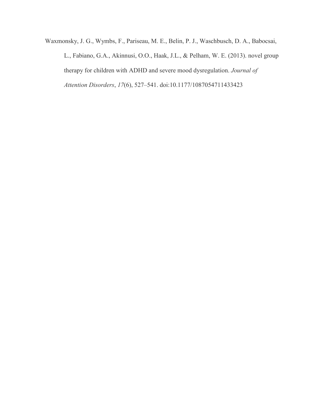Waxmonsky, J. G., Wymbs, F., Pariseau, M. E., Belin, P. J., Waschbusch, D. A., Babocsai, L., Fabiano, G.A., Akinnusi, O.O., Haak, J.L., & Pelham, W. E. (2013). novel group therapy for children with ADHD and severe mood dysregulation. *Journal of Attention Disorders*, *17*(6), 527–541. doi:10.1177/1087054711433423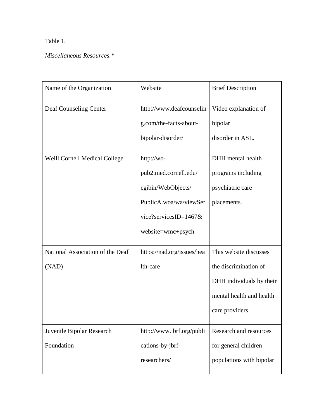# Table 1.

# *Miscellaneous Resources.\**

| Name of the Organization                  | Website                                                                                                                           | <b>Brief Description</b>                                                                                                   |
|-------------------------------------------|-----------------------------------------------------------------------------------------------------------------------------------|----------------------------------------------------------------------------------------------------------------------------|
| Deaf Counseling Center                    | http://www.deafcounselin<br>g.com/the-facts-about-<br>bipolar-disorder/                                                           | Video explanation of<br>bipolar<br>disorder in ASL.                                                                        |
| <b>Weill Cornell Medical College</b>      | http://wo-<br>pub2.med.cornell.edu/<br>cgibin/WebObjects/<br>PublicA.woa/wa/viewSer<br>vice?servicesID=1467&<br>website=wmc+psych | DHH mental health<br>programs including<br>psychiatric care<br>placements.                                                 |
| National Association of the Deaf<br>(NAD) | https://nad.org/issues/hea<br>lth-care                                                                                            | This website discusses<br>the discrimination of<br>DHH individuals by their<br>mental health and health<br>care providers. |
| Juvenile Bipolar Research<br>Foundation   | http://www.jbrf.org/publi<br>cations-by-jbrf-<br>researchers/                                                                     | Research and resources<br>for general children<br>populations with bipolar                                                 |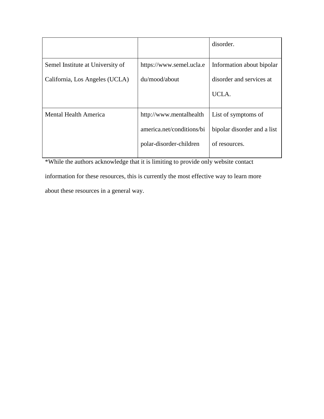|                                  |                           | disorder.                   |
|----------------------------------|---------------------------|-----------------------------|
| Semel Institute at University of | https://www.semel.ucla.e  | Information about bipolar   |
| California, Los Angeles (UCLA)   | du/mood/about             | disorder and services at    |
|                                  |                           | UCLA.                       |
| <b>Mental Health America</b>     | http://www.mentalhealth   | List of symptoms of         |
|                                  | america.net/conditions/bi | bipolar disorder and a list |
|                                  | polar-disorder-children   | of resources.               |
|                                  |                           |                             |

\*While the authors acknowledge that it is limiting to provide only website contact information for these resources, this is currently the most effective way to learn more about these resources in a general way.